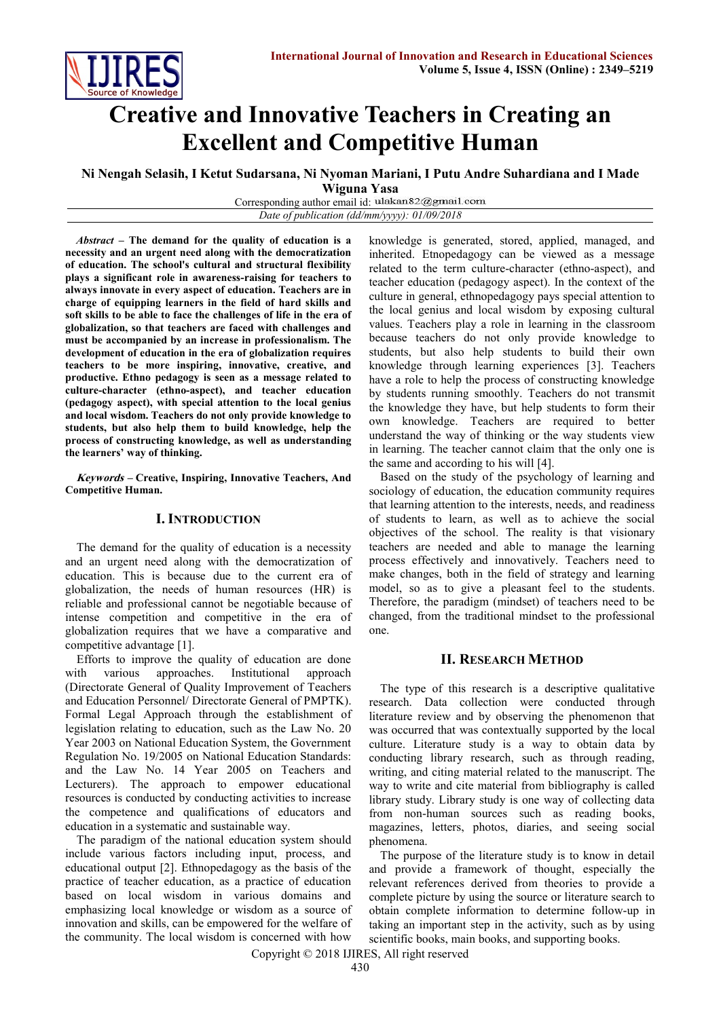# **Creative and Innovative Teachers in Creating an Excellent and Competitive Human**

**Ni Nengah Selasih, I Ketut Sudarsana, Ni Nyoman Mariani, I Putu Andre Suhardiana and I Made** 

**Wiguna Yasa**

Corresponding author email id: ulakan82@gmail.com *Date of publication (dd/mm/yyyy): 01/09/2018*

*Abstract* **– The demand for the quality of education is a necessity and an urgent need along with the democratization of education. The school's cultural and structural flexibility plays a significant role in awareness-raising for teachers to always innovate in every aspect of education. Teachers are in charge of equipping learners in the field of hard skills and soft skills to be able to face the challenges of life in the era of globalization, so that teachers are faced with challenges and must be accompanied by an increase in professionalism. The development of education in the era of globalization requires teachers to be more inspiring, innovative, creative, and productive. Ethno pedagogy is seen as a message related to culture-character (ethno-aspect), and teacher education (pedagogy aspect), with special attention to the local genius and local wisdom. Teachers do not only provide knowledge to students, but also help them to build knowledge, help the process of constructing knowledge, as well as understanding the learners' way of thinking.**

**Keywords – Creative, Inspiring, Innovative Teachers, And Competitive Human.**

## **I. INTRODUCTION**

The demand for the quality of education is a necessity and an urgent need along with the democratization of education. This is because due to the current era of globalization, the needs of human resources (HR) is reliable and professional cannot be negotiable because of intense competition and competitive in the era of globalization requires that we have a comparative and competitive advantage [1].

Efforts to improve the quality of education are done with various approaches. Institutional approach (Directorate General of Quality Improvement of Teachers and Education Personnel/ Directorate General of PMPTK). Formal Legal Approach through the establishment of legislation relating to education, such as the Law No. 20 Year 2003 on National Education System, the Government Regulation No. 19/2005 on National Education Standards: and the Law No. 14 Year 2005 on Teachers and Lecturers). The approach to empower educational resources is conducted by conducting activities to increase the competence and qualifications of educators and education in a systematic and sustainable way.

The paradigm of the national education system should include various factors including input, process, and educational output [2]. Ethnopedagogy as the basis of the practice of teacher education, as a practice of education based on local wisdom in various domains and emphasizing local knowledge or wisdom as a source of innovation and skills, can be empowered for the welfare of the community. The local wisdom is concerned with how

knowledge is generated, stored, applied, managed, and inherited. Etnopedagogy can be viewed as a message related to the term culture-character (ethno-aspect), and teacher education (pedagogy aspect). In the context of the culture in general, ethnopedagogy pays special attention to the local genius and local wisdom by exposing cultural values. Teachers play a role in learning in the classroom because teachers do not only provide knowledge to students, but also help students to build their own knowledge through learning experiences [3]. Teachers have a role to help the process of constructing knowledge by students running smoothly. Teachers do not transmit the knowledge they have, but help students to form their own knowledge. Teachers are required to better understand the way of thinking or the way students view in learning. The teacher cannot claim that the only one is the same and according to his will [4].

Based on the study of the psychology of learning and sociology of education, the education community requires that learning attention to the interests, needs, and readiness of students to learn, as well as to achieve the social objectives of the school. The reality is that visionary teachers are needed and able to manage the learning process effectively and innovatively. Teachers need to make changes, both in the field of strategy and learning model, so as to give a pleasant feel to the students. Therefore, the paradigm (mindset) of teachers need to be changed, from the traditional mindset to the professional one.

## **II. RESEARCH METHOD**

The type of this research is a descriptive qualitative research. Data collection were conducted through literature review and by observing the phenomenon that was occurred that was contextually supported by the local culture. Literature study is a way to obtain data by conducting library research, such as through reading, writing, and citing material related to the manuscript. The way to write and cite material from bibliography is called library study. Library study is one way of collecting data from non-human sources such as reading books, magazines, letters, photos, diaries, and seeing social phenomena.

The purpose of the literature study is to know in detail and provide a framework of thought, especially the relevant references derived from theories to provide a complete picture by using the source or literature search to obtain complete information to determine follow-up in taking an important step in the activity, such as by using scientific books, main books, and supporting books.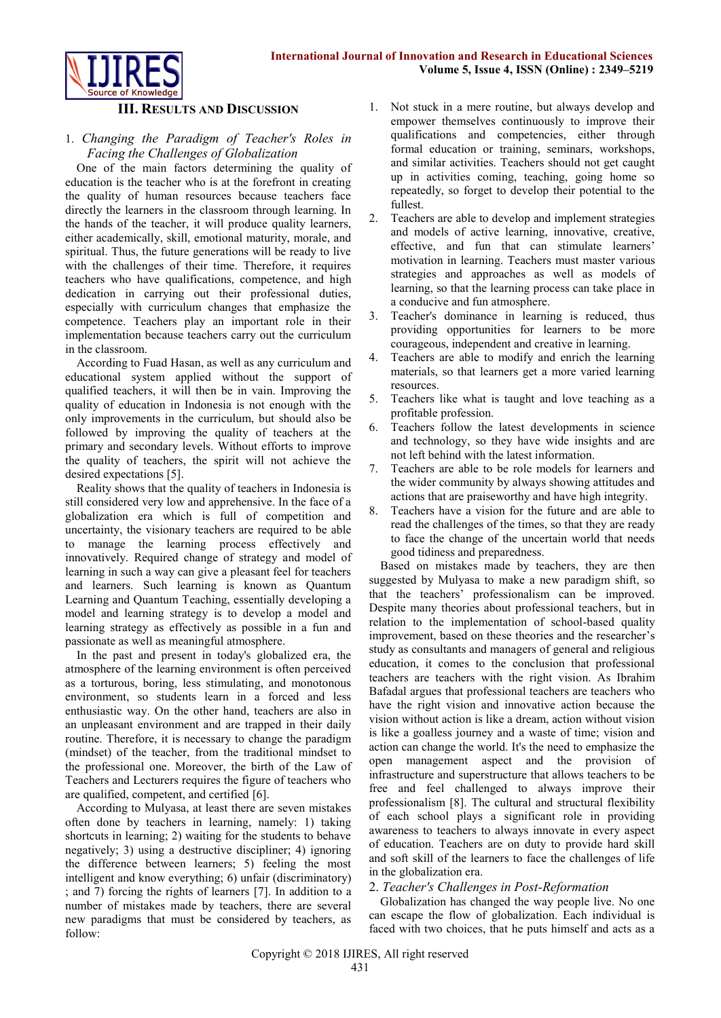

#### **III. RESULTS AND DISCUSSION**

#### 1. *Changing the Paradigm of Teacher's Roles in Facing the Challenges of Globalization*

One of the main factors determining the quality of education is the teacher who is at the forefront in creating the quality of human resources because teachers face directly the learners in the classroom through learning. In the hands of the teacher, it will produce quality learners, either academically, skill, emotional maturity, morale, and spiritual. Thus, the future generations will be ready to live with the challenges of their time. Therefore, it requires teachers who have qualifications, competence, and high dedication in carrying out their professional duties, especially with curriculum changes that emphasize the competence. Teachers play an important role in their implementation because teachers carry out the curriculum in the classroom.

According to Fuad Hasan, as well as any curriculum and educational system applied without the support of qualified teachers, it will then be in vain. Improving the quality of education in Indonesia is not enough with the only improvements in the curriculum, but should also be followed by improving the quality of teachers at the primary and secondary levels. Without efforts to improve the quality of teachers, the spirit will not achieve the desired expectations [5].

Reality shows that the quality of teachers in Indonesia is still considered very low and apprehensive. In the face of a globalization era which is full of competition and uncertainty, the visionary teachers are required to be able to manage the learning process effectively and innovatively. Required change of strategy and model of learning in such a way can give a pleasant feel for teachers and learners. Such learning is known as Quantum Learning and Quantum Teaching, essentially developing a model and learning strategy is to develop a model and learning strategy as effectively as possible in a fun and passionate as well as meaningful atmosphere.

In the past and present in today's globalized era, the atmosphere of the learning environment is often perceived as a torturous, boring, less stimulating, and monotonous environment, so students learn in a forced and less enthusiastic way. On the other hand, teachers are also in an unpleasant environment and are trapped in their daily routine. Therefore, it is necessary to change the paradigm (mindset) of the teacher, from the traditional mindset to the professional one. Moreover, the birth of the Law of Teachers and Lecturers requires the figure of teachers who are qualified, competent, and certified [6].

According to Mulyasa, at least there are seven mistakes often done by teachers in learning, namely: 1) taking shortcuts in learning; 2) waiting for the students to behave negatively; 3) using a destructive discipliner; 4) ignoring the difference between learners; 5) feeling the most intelligent and know everything; 6) unfair (discriminatory) ; and 7) forcing the rights of learners [7]. In addition to a number of mistakes made by teachers, there are several new paradigms that must be considered by teachers, as follow:

- 1. Not stuck in a mere routine, but always develop and empower themselves continuously to improve their qualifications and competencies, either through formal education or training, seminars, workshops, and similar activities. Teachers should not get caught up in activities coming, teaching, going home so repeatedly, so forget to develop their potential to the fullest.
- 2. Teachers are able to develop and implement strategies and models of active learning, innovative, creative, effective, and fun that can stimulate learners' motivation in learning. Teachers must master various strategies and approaches as well as models of learning, so that the learning process can take place in a conducive and fun atmosphere.
- 3. Teacher's dominance in learning is reduced, thus providing opportunities for learners to be more courageous, independent and creative in learning.
- 4. Teachers are able to modify and enrich the learning materials, so that learners get a more varied learning resources.
- 5. Teachers like what is taught and love teaching as a profitable profession.
- 6. Teachers follow the latest developments in science and technology, so they have wide insights and are not left behind with the latest information.
- 7. Teachers are able to be role models for learners and the wider community by always showing attitudes and actions that are praiseworthy and have high integrity.
- 8. Teachers have a vision for the future and are able to read the challenges of the times, so that they are ready to face the change of the uncertain world that needs good tidiness and preparedness.

Based on mistakes made by teachers, they are then suggested by Mulyasa to make a new paradigm shift, so that the teachers' professionalism can be improved. Despite many theories about professional teachers, but in relation to the implementation of school-based quality improvement, based on these theories and the researcher's study as consultants and managers of general and religious education, it comes to the conclusion that professional teachers are teachers with the right vision. As Ibrahim Bafadal argues that professional teachers are teachers who have the right vision and innovative action because the vision without action is like a dream, action without vision is like a goalless journey and a waste of time; vision and action can change the world. It's the need to emphasize the open management aspect and the provision of infrastructure and superstructure that allows teachers to be free and feel challenged to always improve their professionalism [8]. The cultural and structural flexibility of each school plays a significant role in providing awareness to teachers to always innovate in every aspect of education. Teachers are on duty to provide hard skill and soft skill of the learners to face the challenges of life in the globalization era.

## 2. *Teacher's Challenges in Post-Reformation*

Globalization has changed the way people live. No one can escape the flow of globalization. Each individual is faced with two choices, that he puts himself and acts as a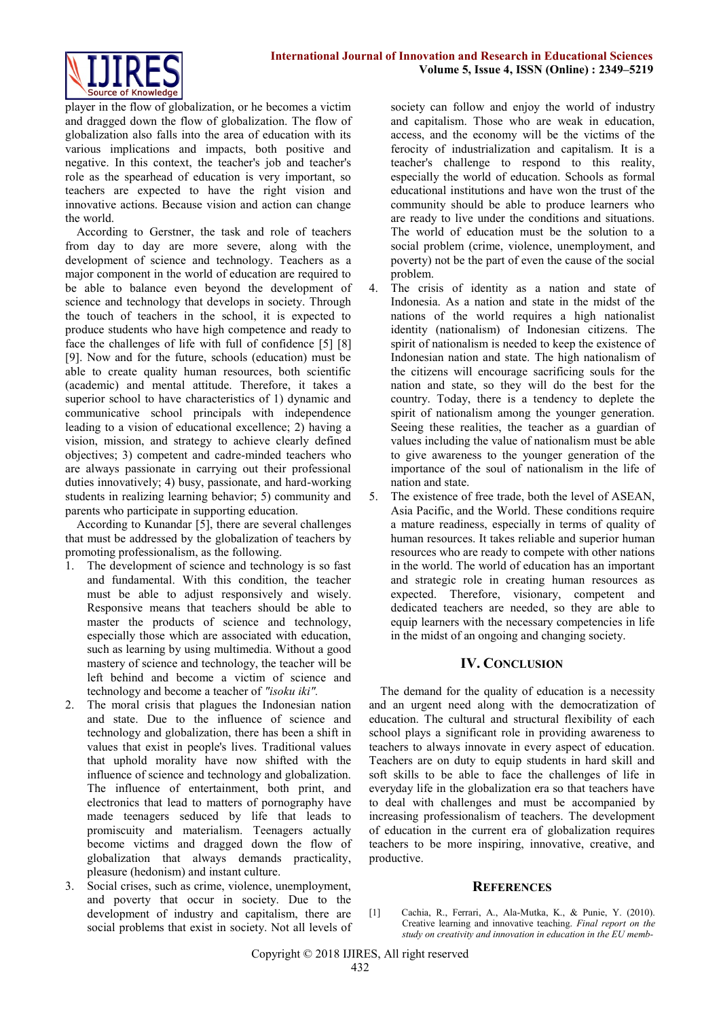

player in the flow of globalization, or he becomes a victim and dragged down the flow of globalization. The flow of globalization also falls into the area of education with its various implications and impacts, both positive and negative. In this context, the teacher's job and teacher's role as the spearhead of education is very important, so teachers are expected to have the right vision and innovative actions. Because vision and action can change the world.

According to Gerstner, the task and role of teachers from day to day are more severe, along with the development of science and technology. Teachers as a major component in the world of education are required to be able to balance even beyond the development of science and technology that develops in society. Through the touch of teachers in the school, it is expected to produce students who have high competence and ready to face the challenges of life with full of confidence [5] [8] [9]. Now and for the future, schools (education) must be able to create quality human resources, both scientific (academic) and mental attitude. Therefore, it takes a superior school to have characteristics of 1) dynamic and communicative school principals with independence leading to a vision of educational excellence; 2) having a vision, mission, and strategy to achieve clearly defined objectives; 3) competent and cadre-minded teachers who are always passionate in carrying out their professional duties innovatively; 4) busy, passionate, and hard-working students in realizing learning behavior; 5) community and parents who participate in supporting education.

According to Kunandar [5], there are several challenges that must be addressed by the globalization of teachers by promoting professionalism, as the following.

- 1. The development of science and technology is so fast and fundamental. With this condition, the teacher must be able to adjust responsively and wisely. Responsive means that teachers should be able to master the products of science and technology, especially those which are associated with education, such as learning by using multimedia. Without a good mastery of science and technology, the teacher will be left behind and become a victim of science and technology and become a teacher of *"isoku iki".*
- 2. The moral crisis that plagues the Indonesian nation and state. Due to the influence of science and technology and globalization, there has been a shift in values that exist in people's lives. Traditional values that uphold morality have now shifted with the influence of science and technology and globalization. The influence of entertainment, both print, and electronics that lead to matters of pornography have made teenagers seduced by life that leads to promiscuity and materialism. Teenagers actually become victims and dragged down the flow of globalization that always demands practicality, pleasure (hedonism) and instant culture.
- 3. Social crises, such as crime, violence, unemployment, and poverty that occur in society. Due to the development of industry and capitalism, there are social problems that exist in society. Not all levels of

society can follow and enjoy the world of industry and capitalism. Those who are weak in education, access, and the economy will be the victims of the ferocity of industrialization and capitalism. It is a teacher's challenge to respond to this reality, especially the world of education. Schools as formal educational institutions and have won the trust of the community should be able to produce learners who are ready to live under the conditions and situations. The world of education must be the solution to a social problem (crime, violence, unemployment, and poverty) not be the part of even the cause of the social problem.

- 4. The crisis of identity as a nation and state of Indonesia. As a nation and state in the midst of the nations of the world requires a high nationalist identity (nationalism) of Indonesian citizens. The spirit of nationalism is needed to keep the existence of Indonesian nation and state. The high nationalism of the citizens will encourage sacrificing souls for the nation and state, so they will do the best for the country. Today, there is a tendency to deplete the spirit of nationalism among the younger generation. Seeing these realities, the teacher as a guardian of values including the value of nationalism must be able to give awareness to the younger generation of the importance of the soul of nationalism in the life of nation and state.
- 5. The existence of free trade, both the level of ASEAN, Asia Pacific, and the World. These conditions require a mature readiness, especially in terms of quality of human resources. It takes reliable and superior human resources who are ready to compete with other nations in the world. The world of education has an important and strategic role in creating human resources as expected. Therefore, visionary, competent and dedicated teachers are needed, so they are able to equip learners with the necessary competencies in life in the midst of an ongoing and changing society.

## **IV. CONCLUSION**

The demand for the quality of education is a necessity and an urgent need along with the democratization of education. The cultural and structural flexibility of each school plays a significant role in providing awareness to teachers to always innovate in every aspect of education. Teachers are on duty to equip students in hard skill and soft skills to be able to face the challenges of life in everyday life in the globalization era so that teachers have to deal with challenges and must be accompanied by increasing professionalism of teachers. The development of education in the current era of globalization requires teachers to be more inspiring, innovative, creative, and productive.

## **REFERENCES**

[1] Cachia, R., Ferrari, A., Ala-Mutka, K., & Punie, Y. (2010). Creative learning and innovative teaching. *Final report on the study on creativity and innovation in education in the EU memb-*